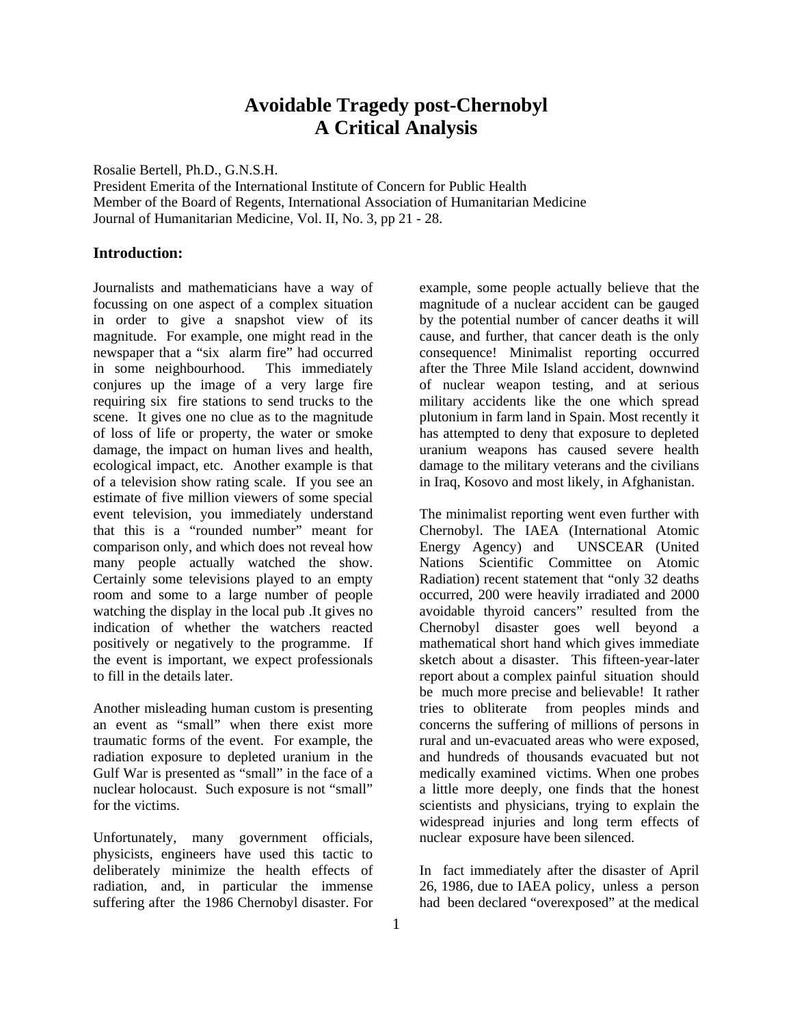# **Avoidable Tragedy post-Chernobyl A Critical Analysis**

Rosalie Bertell, Ph.D., G.N.S.H.

President Emerita of the International Institute of Concern for Public Health Member of the Board of Regents, International Association of Humanitarian Medicine Journal of Humanitarian Medicine, Vol. II, No. 3, pp 21 - 28.

# **Introduction:**

Journalists and mathematicians have a way of focussing on one aspect of a complex situation in order to give a snapshot view of its magnitude. For example, one might read in the newspaper that a "six alarm fire" had occurred in some neighbourhood. This immediately conjures up the image of a very large fire requiring six fire stations to send trucks to the scene. It gives one no clue as to the magnitude of loss of life or property, the water or smoke damage, the impact on human lives and health, ecological impact, etc. Another example is that of a television show rating scale. If you see an estimate of five million viewers of some special event television, you immediately understand that this is a "rounded number" meant for comparison only, and which does not reveal how many people actually watched the show. Certainly some televisions played to an empty room and some to a large number of people watching the display in the local pub .It gives no indication of whether the watchers reacted positively or negatively to the programme. If the event is important, we expect professionals to fill in the details later.

Another misleading human custom is presenting an event as "small" when there exist more traumatic forms of the event. For example, the radiation exposure to depleted uranium in the Gulf War is presented as "small" in the face of a nuclear holocaust. Such exposure is not "small" for the victims.

Unfortunately, many government officials, physicists, engineers have used this tactic to deliberately minimize the health effects of radiation, and, in particular the immense suffering after the 1986 Chernobyl disaster. For

example, some people actually believe that the magnitude of a nuclear accident can be gauged by the potential number of cancer deaths it will cause, and further, that cancer death is the only consequence! Minimalist reporting occurred after the Three Mile Island accident, downwind of nuclear weapon testing, and at serious military accidents like the one which spread plutonium in farm land in Spain. Most recently it has attempted to deny that exposure to depleted uranium weapons has caused severe health damage to the military veterans and the civilians in Iraq, Kosovo and most likely, in Afghanistan.

The minimalist reporting went even further with Chernobyl. The IAEA (International Atomic Energy Agency) and UNSCEAR (United Nations Scientific Committee on Atomic Radiation) recent statement that "only 32 deaths occurred, 200 were heavily irradiated and 2000 avoidable thyroid cancers" resulted from the Chernobyl disaster goes well beyond a mathematical short hand which gives immediate sketch about a disaster. This fifteen-year-later report about a complex painful situation should be much more precise and believable! It rather tries to obliterate from peoples minds and concerns the suffering of millions of persons in rural and un-evacuated areas who were exposed, and hundreds of thousands evacuated but not medically examined victims. When one probes a little more deeply, one finds that the honest scientists and physicians, trying to explain the widespread injuries and long term effects of nuclear exposure have been silenced.

In fact immediately after the disaster of April 26, 1986, due to IAEA policy, unless a person had been declared "overexposed" at the medical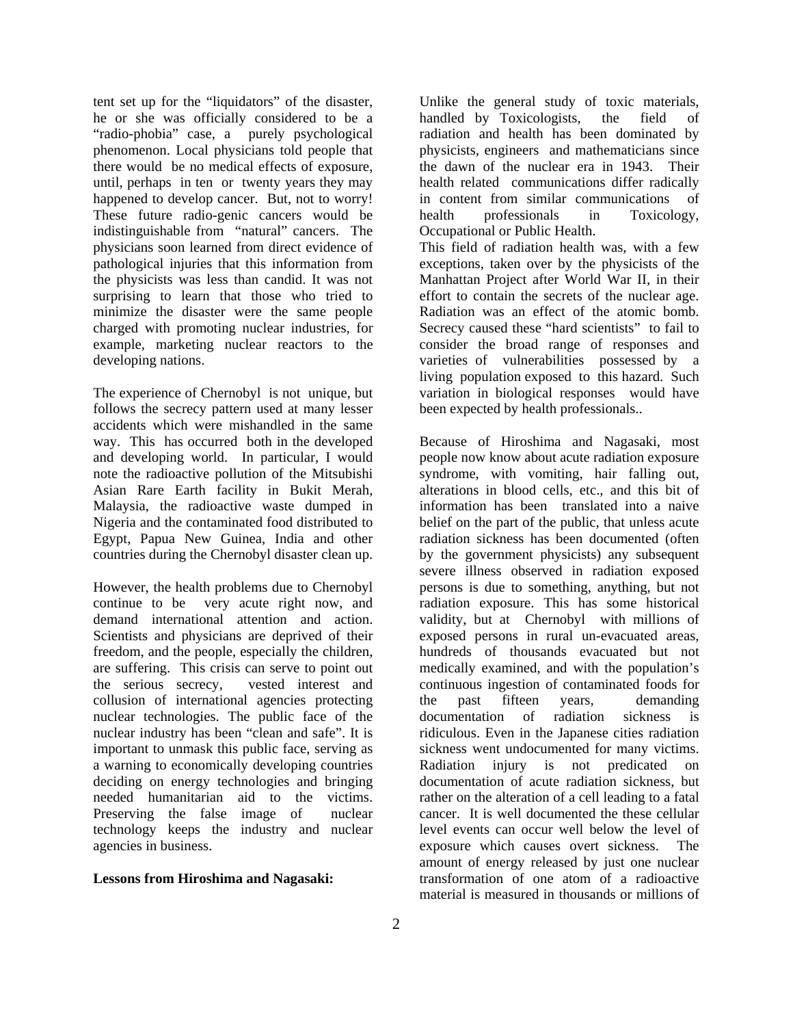tent set up for the "liquidators" of the disaster, he or she was officially considered to be a "radio-phobia" case, a purely psychological phenomenon. Local physicians told people that there would be no medical effects of exposure, until, perhaps in ten or twenty years they may happened to develop cancer. But, not to worry! These future radio-genic cancers would be indistinguishable from "natural" cancers. The physicians soon learned from direct evidence of pathological injuries that this information from the physicists was less than candid. It was not surprising to learn that those who tried to minimize the disaster were the same people charged with promoting nuclear industries, for example, marketing nuclear reactors to the developing nations.

The experience of Chernobyl is not unique, but follows the secrecy pattern used at many lesser accidents which were mishandled in the same way. This has occurred both in the developed and developing world. In particular, I would note the radioactive pollution of the Mitsubishi Asian Rare Earth facility in Bukit Merah, Malaysia, the radioactive waste dumped in Nigeria and the contaminated food distributed to Egypt, Papua New Guinea, India and other countries during the Chernobyl disaster clean up.

However, the health problems due to Chernobyl continue to be very acute right now, and demand international attention and action. Scientists and physicians are deprived of their freedom, and the people, especially the children, are suffering. This crisis can serve to point out the serious secrecy, vested interest and collusion of international agencies protecting nuclear technologies. The public face of the nuclear industry has been "clean and safe". It is important to unmask this public face, serving as a warning to economically developing countries deciding on energy technologies and bringing needed humanitarian aid to the victims. Preserving the false image of nuclear technology keeps the industry and nuclear agencies in business.

#### **Lessons from Hiroshima and Nagasaki:**

Unlike the general study of toxic materials, handled by Toxicologists, the field of radiation and health has been dominated by physicists, engineers and mathematicians since the dawn of the nuclear era in 1943. Their health related communications differ radically in content from similar communications of health professionals in Toxicology, Occupational or Public Health. This field of radiation health was, with a few exceptions, taken over by the physicists of the Manhattan Project after World War II, in their effort to contain the secrets of the nuclear age. Radiation was an effect of the atomic bomb. Secrecy caused these "hard scientists" to fail to consider the broad range of responses and varieties of vulnerabilities possessed by a living population exposed to this hazard. Such variation in biological responses would have been expected by health professionals..

Because of Hiroshima and Nagasaki, most people now know about acute radiation exposure syndrome, with vomiting, hair falling out, alterations in blood cells, etc., and this bit of information has been translated into a naive belief on the part of the public, that unless acute radiation sickness has been documented (often by the government physicists) any subsequent severe illness observed in radiation exposed persons is due to something, anything, but not radiation exposure. This has some historical validity, but at Chernobyl with millions of exposed persons in rural un-evacuated areas, hundreds of thousands evacuated but not medically examined, and with the population's continuous ingestion of contaminated foods for the past fifteen years, demanding documentation of radiation sickness is ridiculous. Even in the Japanese cities radiation sickness went undocumented for many victims. Radiation injury is not predicated on documentation of acute radiation sickness, but rather on the alteration of a cell leading to a fatal cancer. It is well documented the these cellular level events can occur well below the level of exposure which causes overt sickness. The amount of energy released by just one nuclear transformation of one atom of a radioactive material is measured in thousands or millions of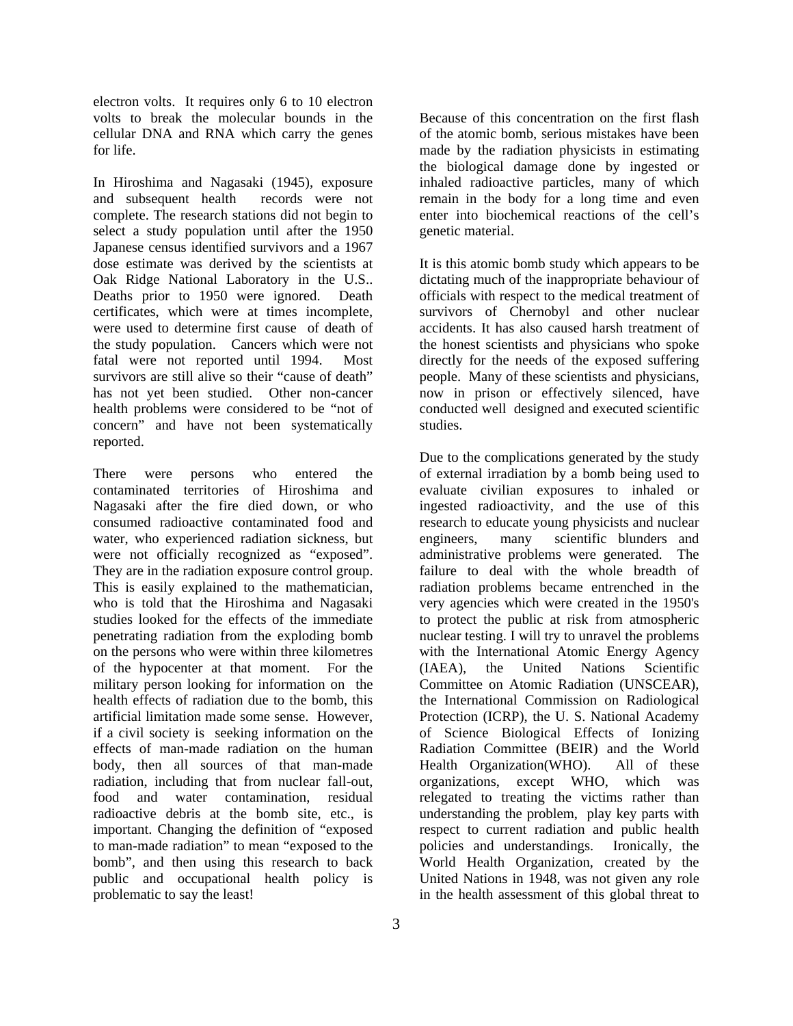electron volts. It requires only 6 to 10 electron volts to break the molecular bounds in the cellular DNA and RNA which carry the genes for life.

In Hiroshima and Nagasaki (1945), exposure and subsequent health records were not complete. The research stations did not begin to select a study population until after the 1950 Japanese census identified survivors and a 1967 dose estimate was derived by the scientists at Oak Ridge National Laboratory in the U.S.. Deaths prior to 1950 were ignored. Death certificates, which were at times incomplete, were used to determine first cause of death of the study population. Cancers which were not fatal were not reported until 1994. Most survivors are still alive so their "cause of death" has not yet been studied. Other non-cancer health problems were considered to be "not of concern" and have not been systematically reported.

There were persons who entered the contaminated territories of Hiroshima and Nagasaki after the fire died down, or who consumed radioactive contaminated food and water, who experienced radiation sickness, but were not officially recognized as "exposed". They are in the radiation exposure control group. This is easily explained to the mathematician, who is told that the Hiroshima and Nagasaki studies looked for the effects of the immediate penetrating radiation from the exploding bomb on the persons who were within three kilometres of the hypocenter at that moment. For the military person looking for information on the health effects of radiation due to the bomb, this artificial limitation made some sense. However, if a civil society is seeking information on the effects of man-made radiation on the human body, then all sources of that man-made radiation, including that from nuclear fall-out, food and water contamination, residual radioactive debris at the bomb site, etc., is important. Changing the definition of "exposed to man-made radiation" to mean "exposed to the bomb", and then using this research to back public and occupational health policy is problematic to say the least!

Because of this concentration on the first flash of the atomic bomb, serious mistakes have been made by the radiation physicists in estimating the biological damage done by ingested or inhaled radioactive particles, many of which remain in the body for a long time and even enter into biochemical reactions of the cell's genetic material.

It is this atomic bomb study which appears to be dictating much of the inappropriate behaviour of officials with respect to the medical treatment of survivors of Chernobyl and other nuclear accidents. It has also caused harsh treatment of the honest scientists and physicians who spoke directly for the needs of the exposed suffering people. Many of these scientists and physicians, now in prison or effectively silenced, have conducted well designed and executed scientific studies.

Due to the complications generated by the study of external irradiation by a bomb being used to evaluate civilian exposures to inhaled or ingested radioactivity, and the use of this research to educate young physicists and nuclear engineers, many scientific blunders and administrative problems were generated. The failure to deal with the whole breadth of radiation problems became entrenched in the very agencies which were created in the 1950's to protect the public at risk from atmospheric nuclear testing. I will try to unravel the problems with the International Atomic Energy Agency (IAEA), the United Nations Scientific Committee on Atomic Radiation (UNSCEAR), the International Commission on Radiological Protection (ICRP), the U. S. National Academy of Science Biological Effects of Ionizing Radiation Committee (BEIR) and the World Health Organization(WHO). All of these organizations, except WHO, which was relegated to treating the victims rather than understanding the problem, play key parts with respect to current radiation and public health policies and understandings. Ironically, the World Health Organization, created by the United Nations in 1948, was not given any role in the health assessment of this global threat to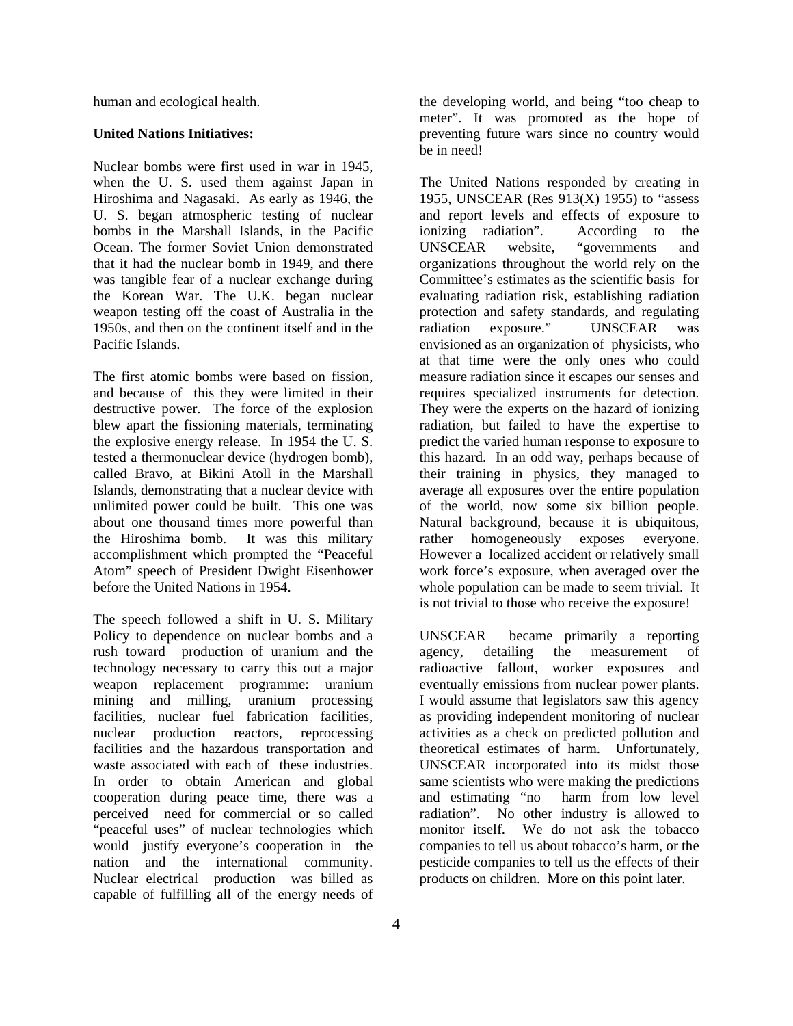human and ecological health.

## **United Nations Initiatives:**

Nuclear bombs were first used in war in 1945, when the U. S. used them against Japan in Hiroshima and Nagasaki. As early as 1946, the U. S. began atmospheric testing of nuclear bombs in the Marshall Islands, in the Pacific Ocean. The former Soviet Union demonstrated that it had the nuclear bomb in 1949, and there was tangible fear of a nuclear exchange during the Korean War. The U.K. began nuclear weapon testing off the coast of Australia in the 1950s, and then on the continent itself and in the Pacific Islands.

The first atomic bombs were based on fission, and because of this they were limited in their destructive power. The force of the explosion blew apart the fissioning materials, terminating the explosive energy release. In 1954 the U. S. tested a thermonuclear device (hydrogen bomb), called Bravo, at Bikini Atoll in the Marshall Islands, demonstrating that a nuclear device with unlimited power could be built. This one was about one thousand times more powerful than the Hiroshima bomb. It was this military accomplishment which prompted the "Peaceful Atom" speech of President Dwight Eisenhower before the United Nations in 1954.

The speech followed a shift in U. S. Military Policy to dependence on nuclear bombs and a rush toward production of uranium and the technology necessary to carry this out a major weapon replacement programme: uranium mining and milling, uranium processing facilities, nuclear fuel fabrication facilities, nuclear production reactors, reprocessing facilities and the hazardous transportation and waste associated with each of these industries. In order to obtain American and global cooperation during peace time, there was a perceived need for commercial or so called "peaceful uses" of nuclear technologies which would justify everyone's cooperation in the nation and the international community. Nuclear electrical production was billed as capable of fulfilling all of the energy needs of

the developing world, and being "too cheap to meter". It was promoted as the hope of preventing future wars since no country would be in need!

The United Nations responded by creating in 1955, UNSCEAR (Res 913(X) 1955) to "assess and report levels and effects of exposure to ionizing radiation". According to the UNSCEAR website, "governments and organizations throughout the world rely on the Committee's estimates as the scientific basis for evaluating radiation risk, establishing radiation protection and safety standards, and regulating radiation exposure." UNSCEAR was envisioned as an organization of physicists, who at that time were the only ones who could measure radiation since it escapes our senses and requires specialized instruments for detection. They were the experts on the hazard of ionizing radiation, but failed to have the expertise to predict the varied human response to exposure to this hazard. In an odd way, perhaps because of their training in physics, they managed to average all exposures over the entire population of the world, now some six billion people. Natural background, because it is ubiquitous, rather homogeneously exposes everyone. However a localized accident or relatively small work force's exposure, when averaged over the whole population can be made to seem trivial. It is not trivial to those who receive the exposure!

UNSCEAR became primarily a reporting agency, detailing the measurement of radioactive fallout, worker exposures and eventually emissions from nuclear power plants. I would assume that legislators saw this agency as providing independent monitoring of nuclear activities as a check on predicted pollution and theoretical estimates of harm. Unfortunately, UNSCEAR incorporated into its midst those same scientists who were making the predictions and estimating "no harm from low level radiation". No other industry is allowed to monitor itself. We do not ask the tobacco companies to tell us about tobacco's harm, or the pesticide companies to tell us the effects of their products on children. More on this point later.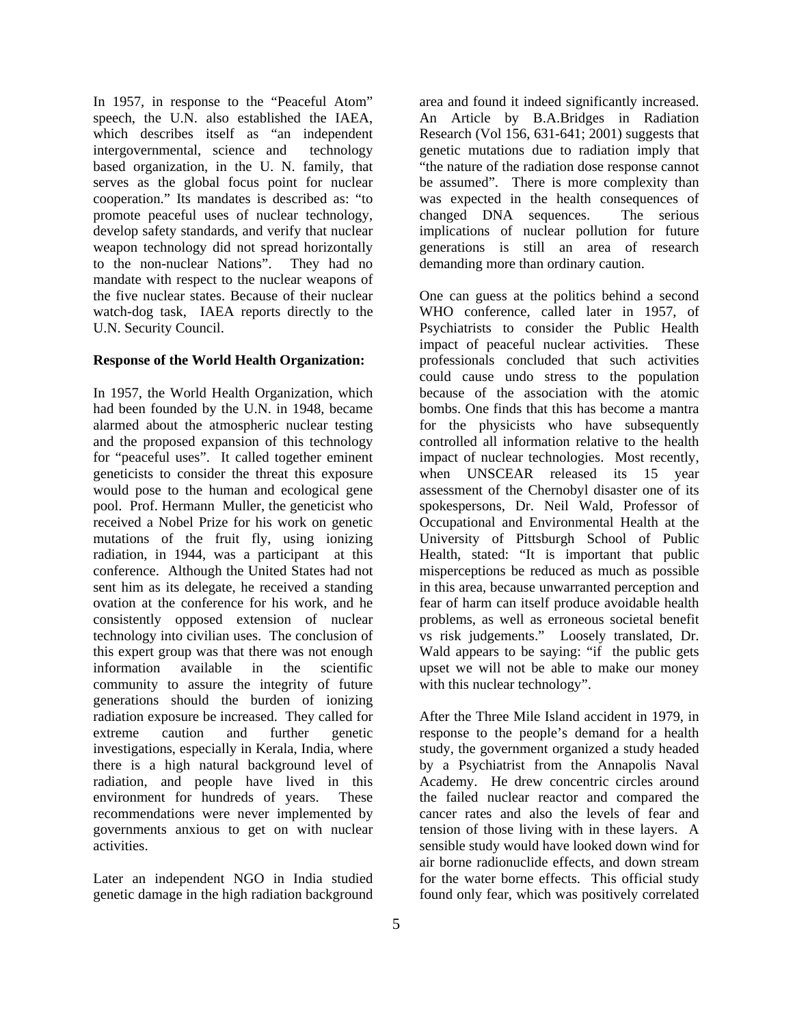In 1957, in response to the "Peaceful Atom" speech, the U.N. also established the IAEA, which describes itself as "an independent" intergovernmental, science and technology based organization, in the U. N. family, that serves as the global focus point for nuclear cooperation." Its mandates is described as: "to promote peaceful uses of nuclear technology, develop safety standards, and verify that nuclear weapon technology did not spread horizontally to the non-nuclear Nations". They had no mandate with respect to the nuclear weapons of the five nuclear states. Because of their nuclear watch-dog task, IAEA reports directly to the U.N. Security Council.

## **Response of the World Health Organization:**

In 1957, the World Health Organization, which had been founded by the U.N. in 1948, became alarmed about the atmospheric nuclear testing and the proposed expansion of this technology for "peaceful uses". It called together eminent geneticists to consider the threat this exposure would pose to the human and ecological gene pool. Prof. Hermann Muller, the geneticist who received a Nobel Prize for his work on genetic mutations of the fruit fly, using ionizing radiation, in 1944, was a participant at this conference. Although the United States had not sent him as its delegate, he received a standing ovation at the conference for his work, and he consistently opposed extension of nuclear technology into civilian uses. The conclusion of this expert group was that there was not enough information available in the scientific community to assure the integrity of future generations should the burden of ionizing radiation exposure be increased. They called for extreme caution and further genetic investigations, especially in Kerala, India, where there is a high natural background level of radiation, and people have lived in this environment for hundreds of years. These recommendations were never implemented by governments anxious to get on with nuclear activities.

Later an independent NGO in India studied genetic damage in the high radiation background

area and found it indeed significantly increased. An Article by B.A.Bridges in Radiation Research (Vol 156, 631-641; 2001) suggests that genetic mutations due to radiation imply that "the nature of the radiation dose response cannot be assumed". There is more complexity than was expected in the health consequences of changed DNA sequences. The serious implications of nuclear pollution for future generations is still an area of research demanding more than ordinary caution.

One can guess at the politics behind a second WHO conference, called later in 1957, of Psychiatrists to consider the Public Health impact of peaceful nuclear activities. These professionals concluded that such activities could cause undo stress to the population because of the association with the atomic bombs. One finds that this has become a mantra for the physicists who have subsequently controlled all information relative to the health impact of nuclear technologies. Most recently, when UNSCEAR released its 15 year assessment of the Chernobyl disaster one of its spokespersons, Dr. Neil Wald, Professor of Occupational and Environmental Health at the University of Pittsburgh School of Public Health, stated: "It is important that public misperceptions be reduced as much as possible in this area, because unwarranted perception and fear of harm can itself produce avoidable health problems, as well as erroneous societal benefit vs risk judgements." Loosely translated, Dr. Wald appears to be saying: "if the public gets upset we will not be able to make our money with this nuclear technology".

After the Three Mile Island accident in 1979, in response to the people's demand for a health study, the government organized a study headed by a Psychiatrist from the Annapolis Naval Academy. He drew concentric circles around the failed nuclear reactor and compared the cancer rates and also the levels of fear and tension of those living with in these layers. A sensible study would have looked down wind for air borne radionuclide effects, and down stream for the water borne effects. This official study found only fear, which was positively correlated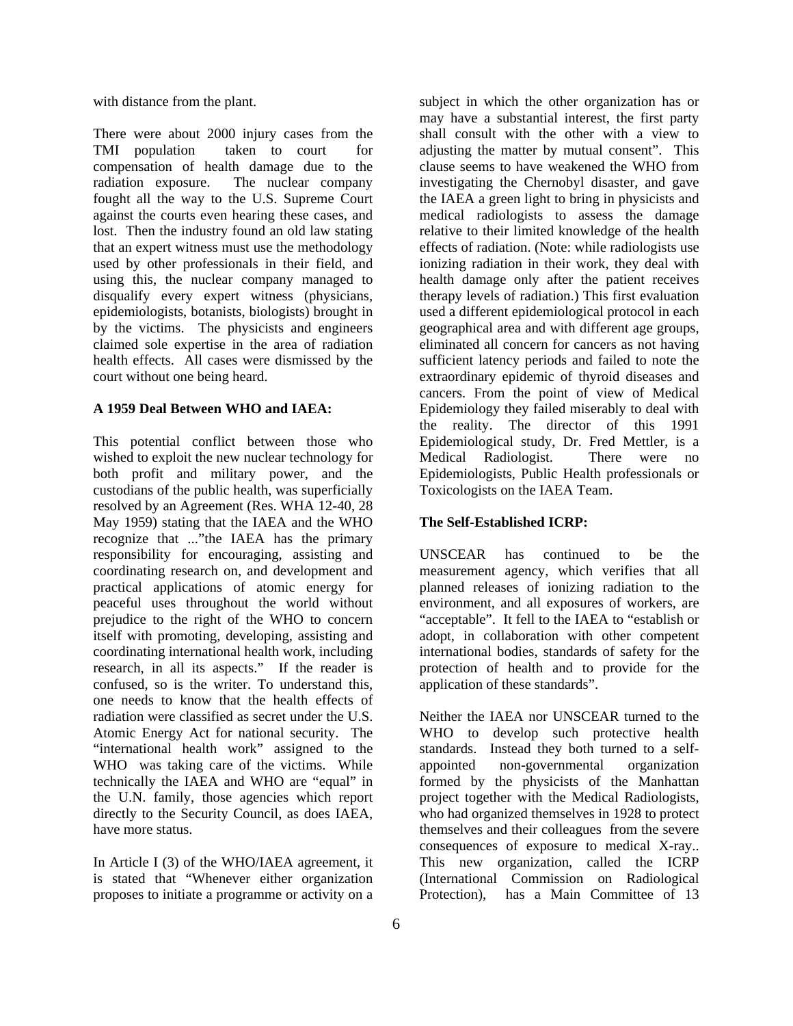with distance from the plant.

There were about 2000 injury cases from the TMI population taken to court for compensation of health damage due to the radiation exposure. The nuclear company fought all the way to the U.S. Supreme Court against the courts even hearing these cases, and lost. Then the industry found an old law stating that an expert witness must use the methodology used by other professionals in their field, and using this, the nuclear company managed to disqualify every expert witness (physicians, epidemiologists, botanists, biologists) brought in by the victims. The physicists and engineers claimed sole expertise in the area of radiation health effects. All cases were dismissed by the court without one being heard.

### **A 1959 Deal Between WHO and IAEA:**

This potential conflict between those who wished to exploit the new nuclear technology for both profit and military power, and the custodians of the public health, was superficially resolved by an Agreement (Res. WHA 12-40, 28 May 1959) stating that the IAEA and the WHO recognize that ..."the IAEA has the primary responsibility for encouraging, assisting and coordinating research on, and development and practical applications of atomic energy for peaceful uses throughout the world without prejudice to the right of the WHO to concern itself with promoting, developing, assisting and coordinating international health work, including research, in all its aspects." If the reader is confused, so is the writer. To understand this, one needs to know that the health effects of radiation were classified as secret under the U.S. Atomic Energy Act for national security. The "international health work" assigned to the WHO was taking care of the victims. While technically the IAEA and WHO are "equal" in the U.N. family, those agencies which report directly to the Security Council, as does IAEA, have more status.

In Article I (3) of the WHO/IAEA agreement, it is stated that "Whenever either organization proposes to initiate a programme or activity on a

subject in which the other organization has or may have a substantial interest, the first party shall consult with the other with a view to adjusting the matter by mutual consent". This clause seems to have weakened the WHO from investigating the Chernobyl disaster, and gave the IAEA a green light to bring in physicists and medical radiologists to assess the damage relative to their limited knowledge of the health effects of radiation. (Note: while radiologists use ionizing radiation in their work, they deal with health damage only after the patient receives therapy levels of radiation.) This first evaluation used a different epidemiological protocol in each geographical area and with different age groups, eliminated all concern for cancers as not having sufficient latency periods and failed to note the extraordinary epidemic of thyroid diseases and cancers. From the point of view of Medical Epidemiology they failed miserably to deal with the reality. The director of this 1991 Epidemiological study, Dr. Fred Mettler, is a Medical Radiologist. There were no Epidemiologists, Public Health professionals or Toxicologists on the IAEA Team.

### **The Self-Established ICRP:**

UNSCEAR has continued to be the measurement agency, which verifies that all planned releases of ionizing radiation to the environment, and all exposures of workers, are "acceptable". It fell to the IAEA to "establish or adopt, in collaboration with other competent international bodies, standards of safety for the protection of health and to provide for the application of these standards".

Neither the IAEA nor UNSCEAR turned to the WHO to develop such protective health standards. Instead they both turned to a selfappointed non-governmental organization formed by the physicists of the Manhattan project together with the Medical Radiologists, who had organized themselves in 1928 to protect themselves and their colleagues from the severe consequences of exposure to medical X-ray.. This new organization, called the ICRP (International Commission on Radiological Protection), has a Main Committee of 13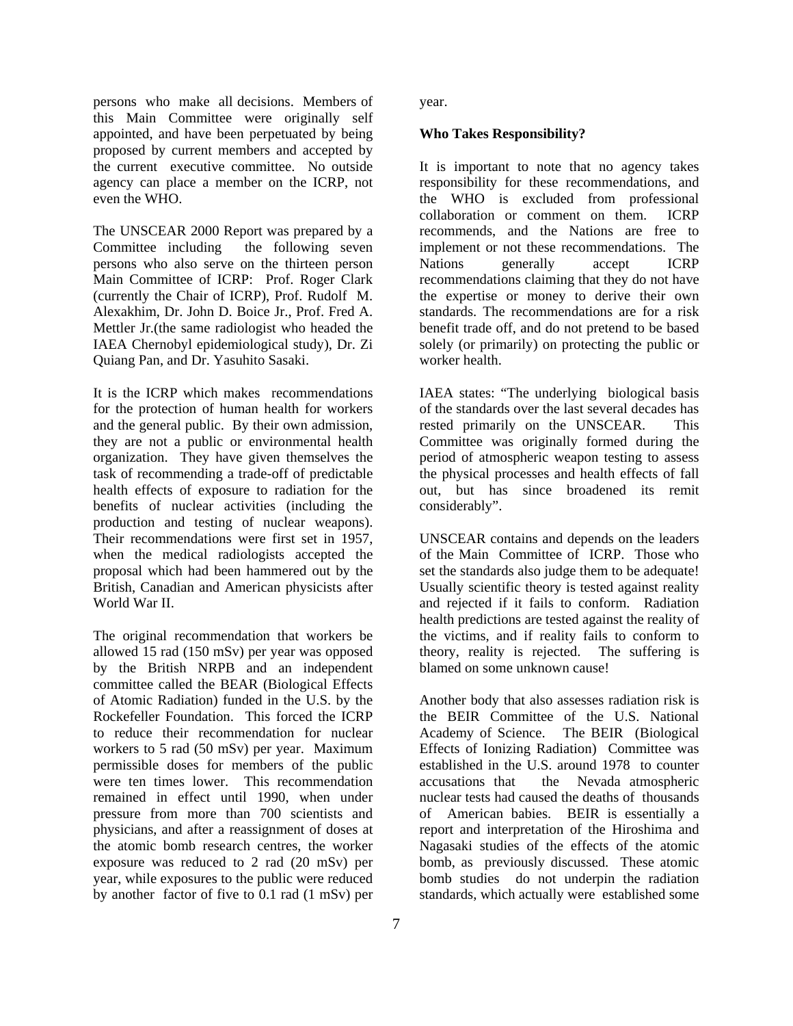persons who make all decisions. Members of this Main Committee were originally self appointed, and have been perpetuated by being proposed by current members and accepted by the current executive committee. No outside agency can place a member on the ICRP, not even the WHO.

The UNSCEAR 2000 Report was prepared by a Committee including the following seven persons who also serve on the thirteen person Main Committee of ICRP: Prof. Roger Clark (currently the Chair of ICRP), Prof. Rudolf M. Alexakhim, Dr. John D. Boice Jr., Prof. Fred A. Mettler Jr.(the same radiologist who headed the IAEA Chernobyl epidemiological study), Dr. Zi Quiang Pan, and Dr. Yasuhito Sasaki.

It is the ICRP which makes recommendations for the protection of human health for workers and the general public. By their own admission, they are not a public or environmental health organization. They have given themselves the task of recommending a trade-off of predictable health effects of exposure to radiation for the benefits of nuclear activities (including the production and testing of nuclear weapons). Their recommendations were first set in 1957, when the medical radiologists accepted the proposal which had been hammered out by the British, Canadian and American physicists after World War II.

The original recommendation that workers be allowed 15 rad (150 mSv) per year was opposed by the British NRPB and an independent committee called the BEAR (Biological Effects of Atomic Radiation) funded in the U.S. by the Rockefeller Foundation. This forced the ICRP to reduce their recommendation for nuclear workers to 5 rad (50 mSv) per year. Maximum permissible doses for members of the public were ten times lower. This recommendation remained in effect until 1990, when under pressure from more than 700 scientists and physicians, and after a reassignment of doses at the atomic bomb research centres, the worker exposure was reduced to 2 rad (20 mSv) per year, while exposures to the public were reduced by another factor of five to 0.1 rad (1 mSv) per

year.

#### **Who Takes Responsibility?**

It is important to note that no agency takes responsibility for these recommendations, and the WHO is excluded from professional collaboration or comment on them. ICRP recommends, and the Nations are free to implement or not these recommendations. The Nations generally accept ICRP recommendations claiming that they do not have the expertise or money to derive their own standards. The recommendations are for a risk benefit trade off, and do not pretend to be based solely (or primarily) on protecting the public or worker health.

IAEA states: "The underlying biological basis of the standards over the last several decades has rested primarily on the UNSCEAR. This Committee was originally formed during the period of atmospheric weapon testing to assess the physical processes and health effects of fall out, but has since broadened its remit considerably".

UNSCEAR contains and depends on the leaders of the Main Committee of ICRP. Those who set the standards also judge them to be adequate! Usually scientific theory is tested against reality and rejected if it fails to conform. Radiation health predictions are tested against the reality of the victims, and if reality fails to conform to theory, reality is rejected. The suffering is blamed on some unknown cause!

Another body that also assesses radiation risk is the BEIR Committee of the U.S. National Academy of Science. The BEIR (Biological Effects of Ionizing Radiation) Committee was established in the U.S. around 1978 to counter accusations that the Nevada atmospheric nuclear tests had caused the deaths of thousands of American babies. BEIR is essentially a report and interpretation of the Hiroshima and Nagasaki studies of the effects of the atomic bomb, as previously discussed. These atomic bomb studies do not underpin the radiation standards, which actually were established some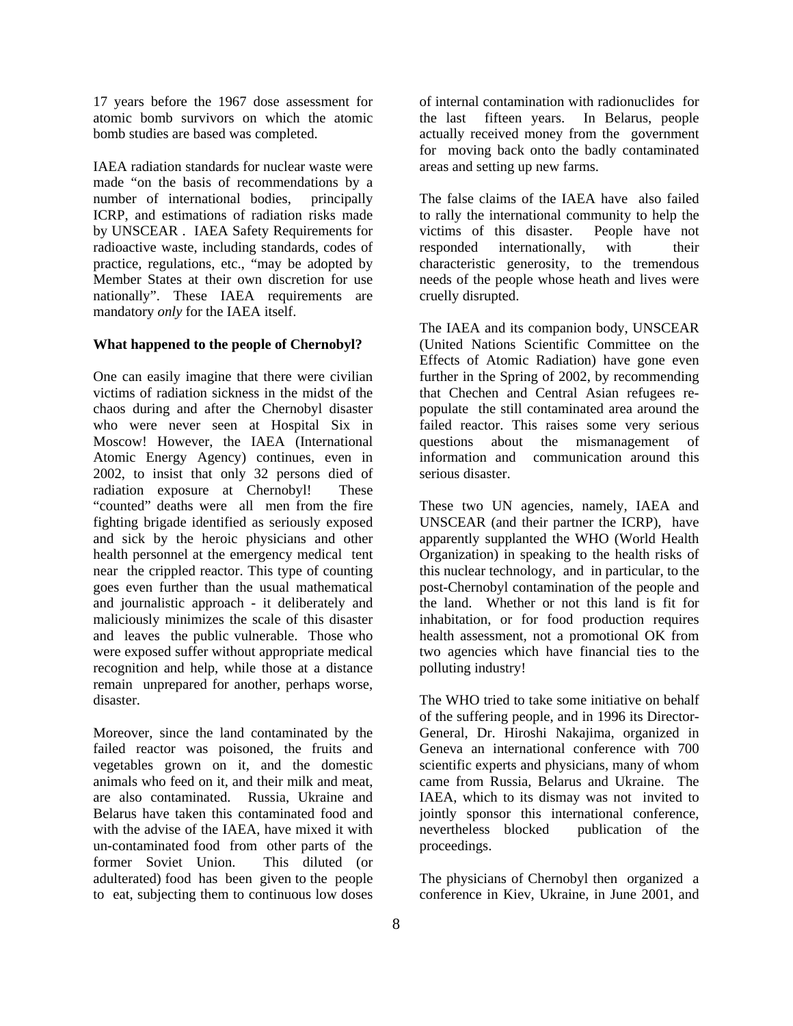17 years before the 1967 dose assessment for atomic bomb survivors on which the atomic bomb studies are based was completed.

IAEA radiation standards for nuclear waste were made "on the basis of recommendations by a number of international bodies, principally ICRP, and estimations of radiation risks made by UNSCEAR . IAEA Safety Requirements for radioactive waste, including standards, codes of practice, regulations, etc., "may be adopted by Member States at their own discretion for use nationally". These IAEA requirements are mandatory *only* for the IAEA itself.

#### **What happened to the people of Chernobyl?**

One can easily imagine that there were civilian victims of radiation sickness in the midst of the chaos during and after the Chernobyl disaster who were never seen at Hospital Six in Moscow! However, the IAEA (International Atomic Energy Agency) continues, even in 2002, to insist that only 32 persons died of radiation exposure at Chernobyl! These "counted" deaths were all men from the fire fighting brigade identified as seriously exposed and sick by the heroic physicians and other health personnel at the emergency medical tent near the crippled reactor. This type of counting goes even further than the usual mathematical and journalistic approach - it deliberately and maliciously minimizes the scale of this disaster and leaves the public vulnerable. Those who were exposed suffer without appropriate medical recognition and help, while those at a distance remain unprepared for another, perhaps worse, disaster.

Moreover, since the land contaminated by the failed reactor was poisoned, the fruits and vegetables grown on it, and the domestic animals who feed on it, and their milk and meat, are also contaminated. Russia, Ukraine and Belarus have taken this contaminated food and with the advise of the IAEA, have mixed it with un-contaminated food from other parts of the former Soviet Union. This diluted (or adulterated) food has been given to the people to eat, subjecting them to continuous low doses

of internal contamination with radionuclides for the last fifteen years. In Belarus, people actually received money from the government for moving back onto the badly contaminated areas and setting up new farms.

The false claims of the IAEA have also failed to rally the international community to help the victims of this disaster. People have not responded internationally, with their characteristic generosity, to the tremendous needs of the people whose heath and lives were cruelly disrupted.

The IAEA and its companion body, UNSCEAR (United Nations Scientific Committee on the Effects of Atomic Radiation) have gone even further in the Spring of 2002, by recommending that Chechen and Central Asian refugees repopulate the still contaminated area around the failed reactor. This raises some very serious questions about the mismanagement of information and communication around this serious disaster.

These two UN agencies, namely, IAEA and UNSCEAR (and their partner the ICRP), have apparently supplanted the WHO (World Health Organization) in speaking to the health risks of this nuclear technology, and in particular, to the post-Chernobyl contamination of the people and the land. Whether or not this land is fit for inhabitation, or for food production requires health assessment, not a promotional OK from two agencies which have financial ties to the polluting industry!

The WHO tried to take some initiative on behalf of the suffering people, and in 1996 its Director-General, Dr. Hiroshi Nakajima, organized in Geneva an international conference with 700 scientific experts and physicians, many of whom came from Russia, Belarus and Ukraine. The IAEA, which to its dismay was not invited to jointly sponsor this international conference, nevertheless blocked publication of the proceedings.

The physicians of Chernobyl then organized a conference in Kiev, Ukraine, in June 2001, and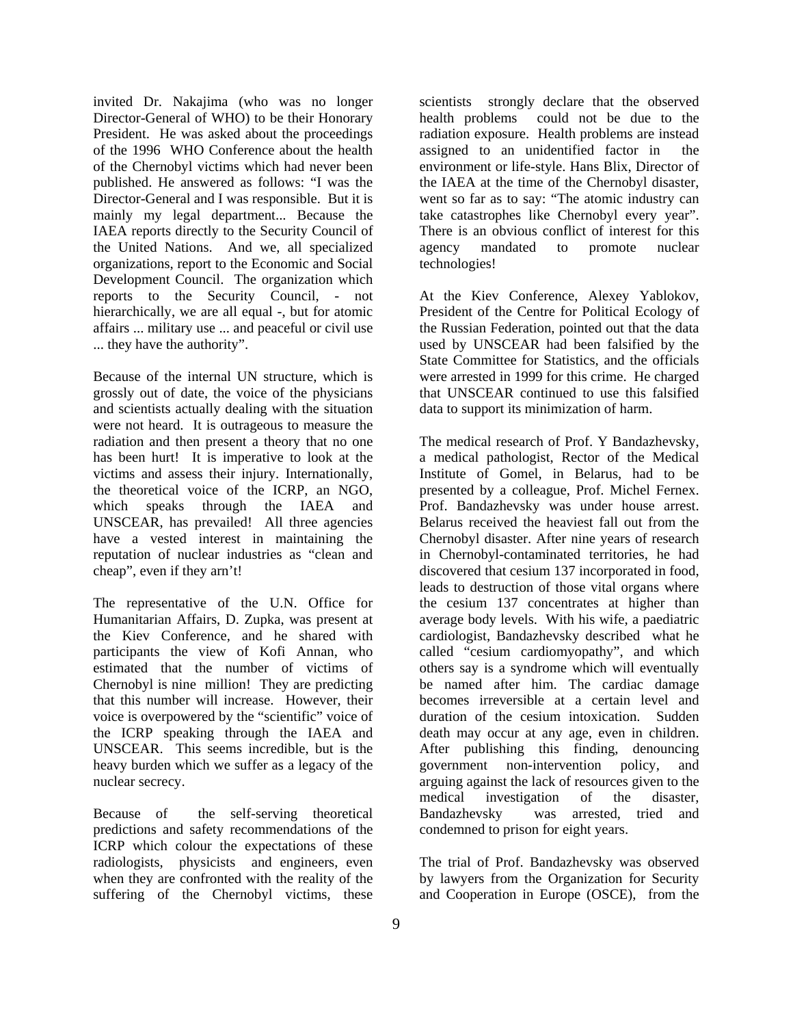invited Dr. Nakajima (who was no longer Director-General of WHO) to be their Honorary President. He was asked about the proceedings of the 1996 WHO Conference about the health of the Chernobyl victims which had never been published. He answered as follows: "I was the Director-General and I was responsible. But it is mainly my legal department... Because the IAEA reports directly to the Security Council of the United Nations. And we, all specialized organizations, report to the Economic and Social Development Council. The organization which reports to the Security Council, - not hierarchically, we are all equal -, but for atomic affairs ... military use ... and peaceful or civil use ... they have the authority".

Because of the internal UN structure, which is grossly out of date, the voice of the physicians and scientists actually dealing with the situation were not heard. It is outrageous to measure the radiation and then present a theory that no one has been hurt! It is imperative to look at the victims and assess their injury. Internationally, the theoretical voice of the ICRP, an NGO, which speaks through the IAEA and UNSCEAR, has prevailed! All three agencies have a vested interest in maintaining the reputation of nuclear industries as "clean and cheap", even if they arn't!

The representative of the U.N. Office for Humanitarian Affairs, D. Zupka, was present at the Kiev Conference, and he shared with participants the view of Kofi Annan, who estimated that the number of victims of Chernobyl is nine million! They are predicting that this number will increase. However, their voice is overpowered by the "scientific" voice of the ICRP speaking through the IAEA and UNSCEAR. This seems incredible, but is the heavy burden which we suffer as a legacy of the nuclear secrecy.

Because of the self-serving theoretical predictions and safety recommendations of the ICRP which colour the expectations of these radiologists, physicists and engineers, even when they are confronted with the reality of the suffering of the Chernobyl victims, these

scientists strongly declare that the observed health problems could not be due to the radiation exposure. Health problems are instead assigned to an unidentified factor in the environment or life-style. Hans Blix, Director of the IAEA at the time of the Chernobyl disaster, went so far as to say: "The atomic industry can take catastrophes like Chernobyl every year". There is an obvious conflict of interest for this agency mandated to promote nuclear technologies!

At the Kiev Conference, Alexey Yablokov, President of the Centre for Political Ecology of the Russian Federation, pointed out that the data used by UNSCEAR had been falsified by the State Committee for Statistics, and the officials were arrested in 1999 for this crime. He charged that UNSCEAR continued to use this falsified data to support its minimization of harm.

The medical research of Prof. Y Bandazhevsky, a medical pathologist, Rector of the Medical Institute of Gomel, in Belarus, had to be presented by a colleague, Prof. Michel Fernex. Prof. Bandazhevsky was under house arrest. Belarus received the heaviest fall out from the Chernobyl disaster. After nine years of research in Chernobyl-contaminated territories, he had discovered that cesium 137 incorporated in food, leads to destruction of those vital organs where the cesium 137 concentrates at higher than average body levels. With his wife, a paediatric cardiologist, Bandazhevsky described what he called "cesium cardiomyopathy", and which others say is a syndrome which will eventually be named after him. The cardiac damage becomes irreversible at a certain level and duration of the cesium intoxication. Sudden death may occur at any age, even in children. After publishing this finding, denouncing government non-intervention policy, and arguing against the lack of resources given to the medical investigation of the disaster, Bandazhevsky was arrested, tried and condemned to prison for eight years.

The trial of Prof. Bandazhevsky was observed by lawyers from the Organization for Security and Cooperation in Europe (OSCE), from the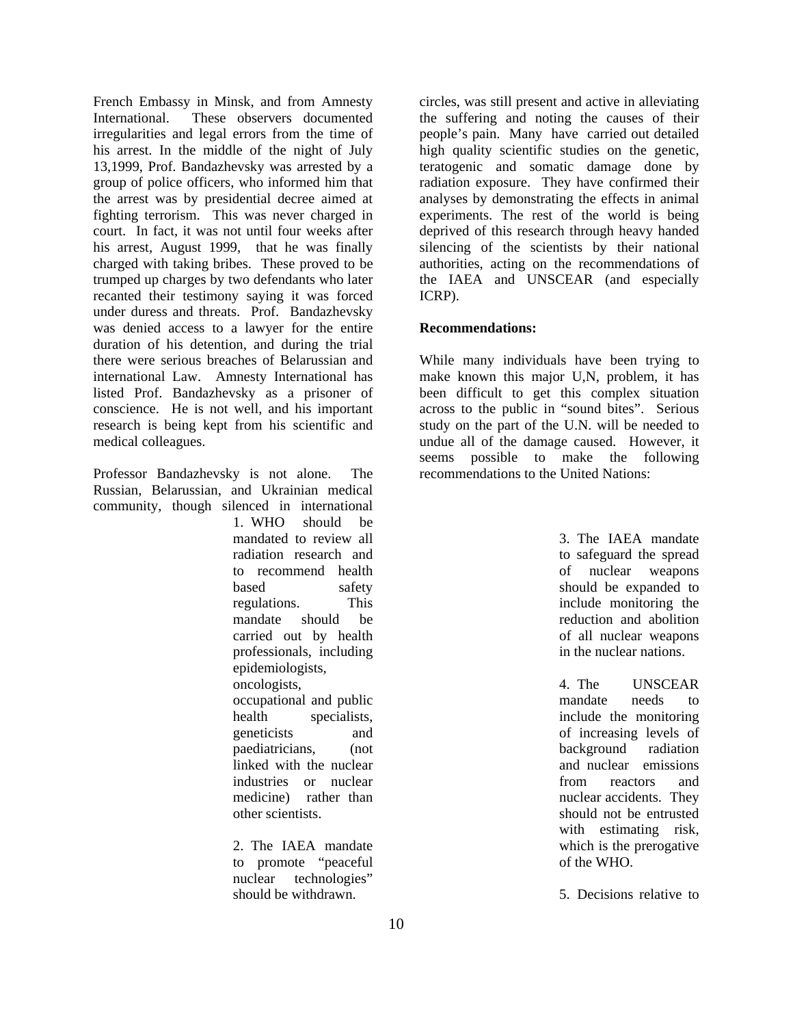French Embassy in Minsk, and from Amnesty International. These observers documented irregularities and legal errors from the time of his arrest. In the middle of the night of July 13,1999, Prof. Bandazhevsky was arrested by a group of police officers, who informed him that the arrest was by presidential decree aimed at fighting terrorism. This was never charged in court. In fact, it was not until four weeks after his arrest, August 1999, that he was finally charged with taking bribes. These proved to be trumped up charges by two defendants who later recanted their testimony saying it was forced under duress and threats. Prof. Bandazhevsky was denied access to a lawyer for the entire duration of his detention, and during the trial there were serious breaches of Belarussian and international Law. Amnesty International has listed Prof. Bandazhevsky as a prisoner of conscience. He is not well, and his important research is being kept from his scientific and medical colleagues.

Professor Bandazhevsky is not alone. The Russian, Belarussian, and Ukrainian medical community, though silenced in international

1. WHO should be mandated to review all radiation research and to recommend health based safety regulations. This mandate should be carried out by health professionals, including epidemiologists, oncologists,

occupational and public health specialists, geneticists and paediatricians, (not linked with the nuclear industries or nuclear medicine) rather than other scientists.

2. The IAEA mandate to promote "peaceful nuclear technologies" should be withdrawn.

circles, was still present and active in alleviating the suffering and noting the causes of their people's pain. Many have carried out detailed high quality scientific studies on the genetic, teratogenic and somatic damage done by radiation exposure. They have confirmed their analyses by demonstrating the effects in animal experiments. The rest of the world is being deprived of this research through heavy handed silencing of the scientists by their national authorities, acting on the recommendations of the IAEA and UNSCEAR (and especially ICRP).

# **Recommendations:**

While many individuals have been trying to make known this major U,N, problem, it has been difficult to get this complex situation across to the public in "sound bites". Serious study on the part of the U.N. will be needed to undue all of the damage caused. However, it seems possible to make the following recommendations to the United Nations:

> 3. The IAEA mandate to safeguard the spread of nuclear weapons should be expanded to include monitoring the reduction and abolition of all nuclear weapons in the nuclear nations.

4. The UNSCEAR mandate needs to include the monitoring of increasing levels of background radiation and nuclear emissions from reactors and nuclear accidents. They should not be entrusted with estimating risk, which is the prerogative of the WHO.

5. Decisions relative to